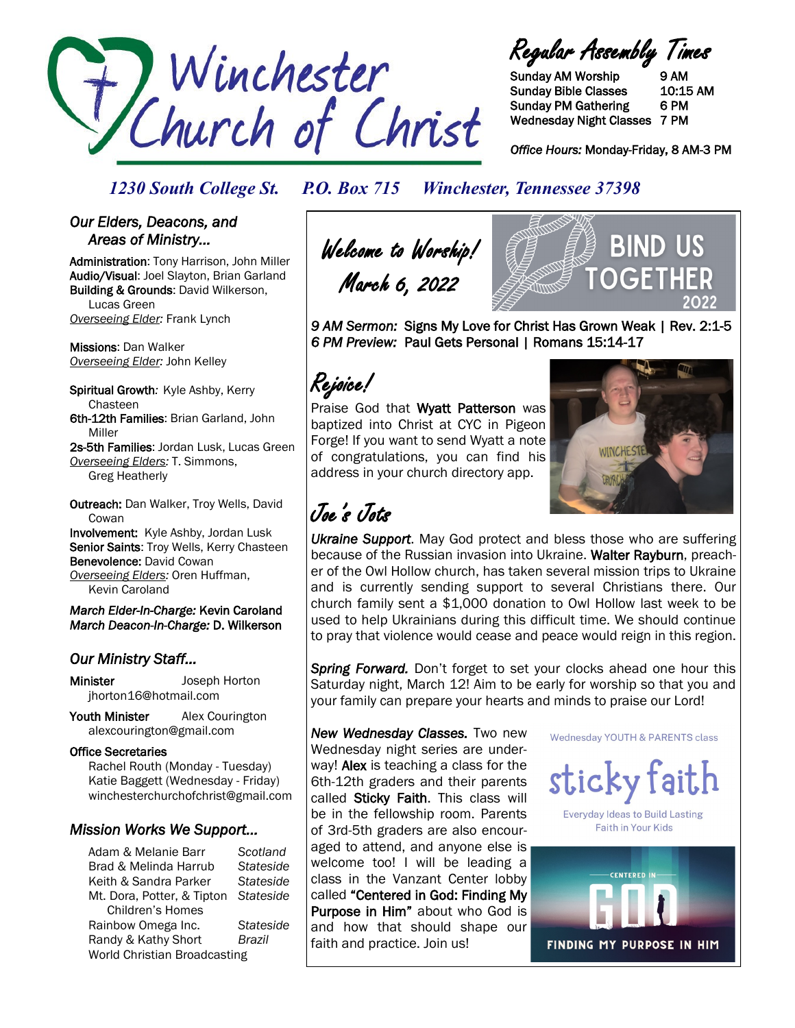

Regular Assembly Times

Sunday AM Worship 9 AM Sunday Bible Classes 10:15 AM Sunday PM Gathering 6 PM Wednesday Night Classes 7 PM

*Office Hours:* Monday-Friday, 8 AM-3 PM

### *1230 South College St. P.O. Box 715 Winchester, Tennessee 37398*

### *Our Elders, Deacons, and Areas of Ministry…*

Administration: Tony Harrison, John Miller Audio/Visual: Joel Slayton, Brian Garland Building & Grounds: David Wilkerson, Lucas Green *Overseeing Elder:* Frank Lynch

Missions: Dan Walker *Overseeing Elder:* John Kelley

Spiritual Growth*:* Kyle Ashby, Kerry Chasteen 6th-12th Families: Brian Garland, John Miller

2s-5th Families: Jordan Lusk, Lucas Green *Overseeing Elders:* T. Simmons, Greg Heatherly

Outreach: Dan Walker, Troy Wells, David **Cowan** Involvement: Kyle Ashby, Jordan Lusk

Senior Saints: Troy Wells, Kerry Chasteen Benevolence: David Cowan *Overseeing Elders:* Oren Huffman, Kevin Caroland

*March Elder-In-Charge:* Kevin Caroland *March Deacon-In-Charge:* D. Wilkerson

### *Our Ministry Staff…*

Minister Joseph Horton jhorton16@hotmail.com

Youth Minister Alex Courington alexcourington@gmail.com

#### Office Secretaries

 Rachel Routh (Monday - Tuesday) Katie Baggett (Wednesday - Friday) winchesterchurchofchrist@gmail.com

### *Mission Works We Support…*

Adam & Melanie Barr *Scotland* Brad & Melinda Harrub *Stateside* Keith & Sandra Parker *Stateside* Mt. Dora, Potter, & Tipton *Stateside* Children's Homes Rainbow Omega Inc. *Stateside* Randy & Kathy Short *Brazil* World Christian Broadcasting

Welcome to Worship! March 6, 2022



*9 AM Sermon:* Signs My Love for Christ Has Grown Weak | Rev. 2:1-5 *6 PM Preview:* Paul Gets Personal | Romans 15:14-17

# Rejoice!

Praise God that Wyatt Patterson was baptized into Christ at CYC in Pigeon Forge! If you want to send Wyatt a note of congratulations, you can find his address in your church directory app.



# Joe's Jots

*Ukraine Support*. May God protect and bless those who are suffering because of the Russian invasion into Ukraine. Walter Rayburn, preacher of the Owl Hollow church, has taken several mission trips to Ukraine and is currently sending support to several Christians there. Our church family sent a \$1,000 donation to Owl Hollow last week to be used to help Ukrainians during this difficult time. We should continue to pray that violence would cease and peace would reign in this region.

*Spring Forward.* Don't forget to set your clocks ahead one hour this Saturday night, March 12! Aim to be early for worship so that you and your family can prepare your hearts and minds to praise our Lord!

*New Wednesday Classes.* Two new Wednesday night series are underway! Alex is teaching a class for the 6th-12th graders and their parents called Sticky Faith. This class will be in the fellowship room. Parents of 3rd-5th graders are also encouraged to attend, and anyone else is welcome too! I will be leading a class in the Vanzant Center lobby called "Centered in God: Finding My Purpose in Him" about who God is and how that should shape our faith and practice. Join us!

Wednesday YOUTH & PARENTS class



**Everyday Ideas to Build Lasting** Faith in Your Kids